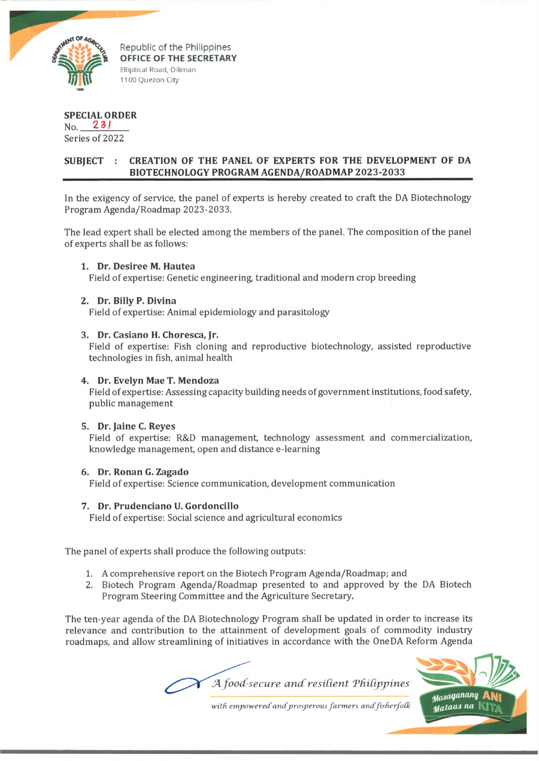

Republic of the Philippines **OFFICE OF THE SECRETARY** Elliptical Road, Diliman 1100 Quezon City

#### **SPECIAL ORDER No. 23/**

Series of 2022

# **SUBJECT : CREATION OF THE PANEL OF EXPERTS FOR THE DEVELOPMENT OF DA** BIOTECHNOLOGY PROGRAM AGENDA/ROADMAP 2023-2033

In the exigency of service, the panel of experts is hereby created to craft the DA Biotechnology Program Agenda/Roadmap 2023-2033.

The lead expert shall be elected among the members of the panel. The composition of the panel of experts shall be as follows:

**1. Dr. Desiree M. Hautea**

Field of expertise: Genetic engineering, traditional and modern crop breeding

**2. Dr. Billy P. Divina**

Field of expertise: Animal epidemiology and parasitology

### **3. Dr. Casiano H. Choresca, Jr.**

Field of expertise: Fish cloning and reproductive biotechnology, assisted reproductive technologies in fish, animal health

## **4. Dr. Evelyn Mae T. Mendoza**

Field of expertise: Assessing capacity building needs of government institutions, food safety, public management

### **5. Dr. Jaine C. Reyes**

Field of expertise: R&D management, technology assessment and commercialization, knowledge management, open and distance e-learning

### **6. Dr. Ronan G. Zagado**

Field of expertise: Science communication, development communication

### **7. Dr. Prudenciano U. Gordoncillo**

Field of expertise: Social science and agricultural economics

The panel of experts shall produce the following outputs:

- 1. A comprehensive report on the Biotech Program Agenda/Roadmap; and
- 2. Biotech Program Agenda/Roadmap presented to and approved by the DA Biotech Program Steering Committee and the Agriculture Secretary.

The ten-year agenda of the DA Biotechnology Program shall be updated in order to increase its relevance and contribution to the attainment of development goals of commodity industiy roadmaps, and allow streamlining of initiatives in accordance with the OneDA Reform Agenda

*f\ food-secure a n d resident 'Pdidppines*



*with empoweredandprosperous farmers andfisfierfoCk*